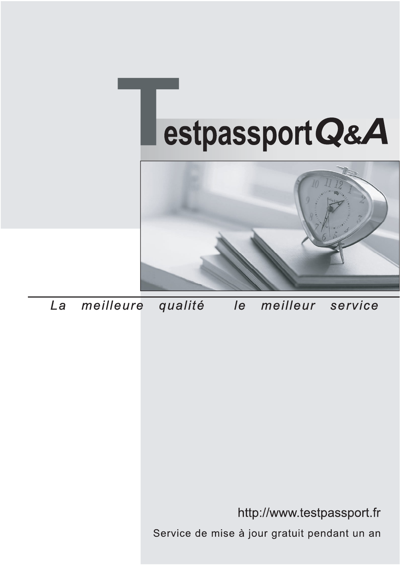



meilleure La qualité  $\overline{e}$ meilleur service

http://www.testpassport.fr

Service de mise à jour gratuit pendant un an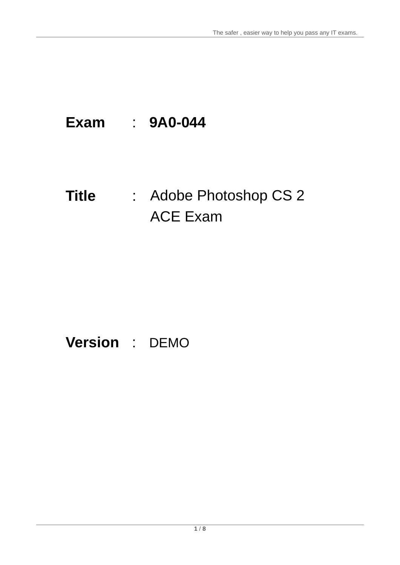# **Exam** : **9A0-044**

# **Title** : Adobe Photoshop CS 2 ACE Exam

# **Version** : DEMO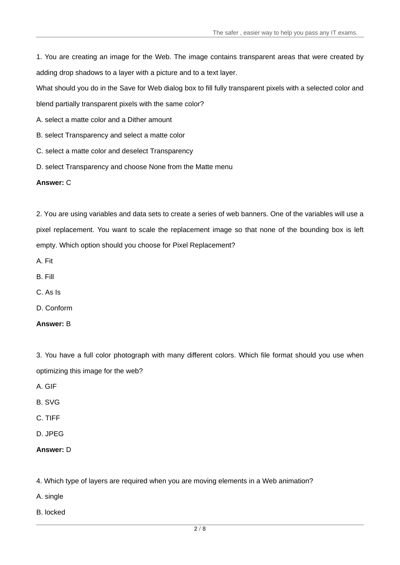The safer , easier way to help you pass any IT exams.

1. You are creating an image for the Web. The image contains transparent areas that were created by adding drop shadows to a layer with a picture and to a text layer.

What should you do in the Save for Web dialog box to fill fully transparent pixels with a selected color and

blend partially transparent pixels with the same color?

- A. select a matte color and a Dither amount
- B. select Transparency and select a matte color
- C. select a matte color and deselect Transparency
- D. select Transparency and choose None from the Matte menu

#### **Answer:** C

2. You are using variables and data sets to create a series of web banners. One of the variables will use a pixel replacement. You want to scale the replacement image so that none of the bounding box is left empty. Which option should you choose for Pixel Replacement?

- A. Fit
- B. Fill
- C. As Is
- D. Conform
- **Answer:** B

3. You have a full color photograph with many different colors. Which file format should you use when optimizing this image for the web?

- A. GIF
- B. SVG
- C. TIFF
- D. JPEG

4. Which type of layers are required when you are moving elements in a Web animation?

- A. single
- B. locked

**Answer:** D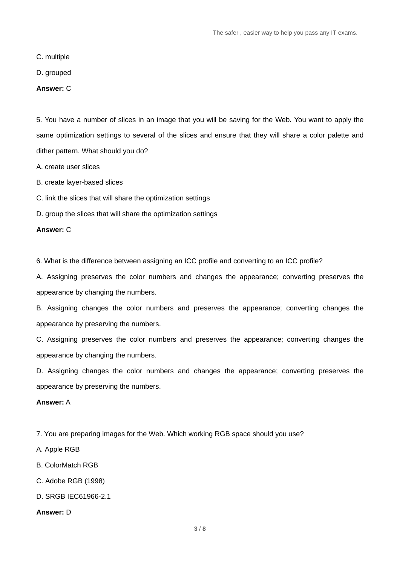C. multiple

D. grouped

#### **Answer:** C

5. You have a number of slices in an image that you will be saving for the Web. You want to apply the same optimization settings to several of the slices and ensure that they will share a color palette and dither pattern. What should you do?

A. create user slices

B. create layer-based slices

C. link the slices that will share the optimization settings

D. group the slices that will share the optimization settings

#### **Answer:** C

6. What is the difference between assigning an ICC profile and converting to an ICC profile?

A. Assigning preserves the color numbers and changes the appearance; converting preserves the appearance by changing the numbers.

B. Assigning changes the color numbers and preserves the appearance; converting changes the appearance by preserving the numbers.

C. Assigning preserves the color numbers and preserves the appearance; converting changes the appearance by changing the numbers.

D. Assigning changes the color numbers and changes the appearance; converting preserves the appearance by preserving the numbers.

#### **Answer:** A

7. You are preparing images for the Web. Which working RGB space should you use?

A. Apple RGB

B. ColorMatch RGB

C. Adobe RGB (1998)

D. SRGB IEC61966-2.1

#### **Answer:** D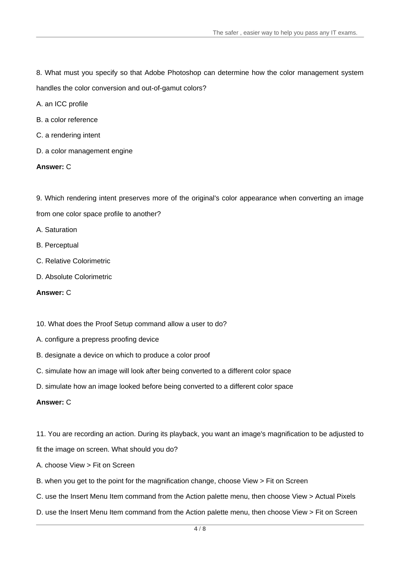8. What must you specify so that Adobe Photoshop can determine how the color management system handles the color conversion and out-of-gamut colors?

A. an ICC profile

- B. a color reference
- C. a rendering intent
- D. a color management engine

#### **Answer:** C

9. Which rendering intent preserves more of the original's color appearance when converting an image from one color space profile to another?

A. Saturation

- B. Perceptual
- C. Relative Colorimetric
- D. Absolute Colorimetric

#### **Answer:** C

#### 10. What does the Proof Setup command allow a user to do?

- A. configure a prepress proofing device
- B. designate a device on which to produce a color proof
- C. simulate how an image will look after being converted to a different color space
- D. simulate how an image looked before being converted to a different color space

#### **Answer:** C

11. You are recording an action. During its playback, you want an image's magnification to be adjusted to

fit the image on screen. What should you do?

- A. choose View > Fit on Screen
- B. when you get to the point for the magnification change, choose View > Fit on Screen
- C. use the Insert Menu Item command from the Action palette menu, then choose View > Actual Pixels
- D. use the Insert Menu Item command from the Action palette menu, then choose View > Fit on Screen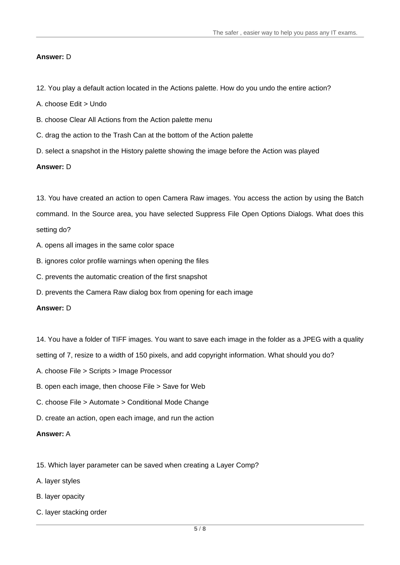#### **Answer:** D

- 12. You play a default action located in the Actions palette. How do you undo the entire action?
- A. choose Edit > Undo
- B. choose Clear All Actions from the Action palette menu
- C. drag the action to the Trash Can at the bottom of the Action palette
- D. select a snapshot in the History palette showing the image before the Action was played

#### **Answer:** D

13. You have created an action to open Camera Raw images. You access the action by using the Batch command. In the Source area, you have selected Suppress File Open Options Dialogs. What does this setting do?

- A. opens all images in the same color space
- B. ignores color profile warnings when opening the files
- C. prevents the automatic creation of the first snapshot
- D. prevents the Camera Raw dialog box from opening for each image

#### **Answer:** D

14. You have a folder of TIFF images. You want to save each image in the folder as a JPEG with a quality

setting of 7, resize to a width of 150 pixels, and add copyright information. What should you do?

- A. choose File > Scripts > Image Processor
- B. open each image, then choose File > Save for Web
- C. choose File > Automate > Conditional Mode Change
- D. create an action, open each image, and run the action

#### **Answer:** A

- 15. Which layer parameter can be saved when creating a Layer Comp?
- A. layer styles
- B. layer opacity
- C. layer stacking order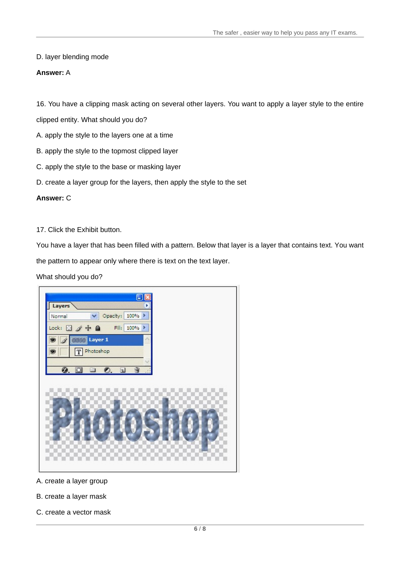#### D. layer blending mode

#### **Answer:** A

16. You have a clipping mask acting on several other layers. You want to apply a layer style to the entire

clipped entity. What should you do?

- A. apply the style to the layers one at a time
- B. apply the style to the topmost clipped layer
- C. apply the style to the base or masking layer
- D. create a layer group for the layers, then apply the style to the set

#### **Answer:** C

#### 17. Click the Exhibit button.

You have a layer that has been filled with a pattern. Below that layer is a layer that contains text. You want

the pattern to appear only where there is text on the text layer.

#### What should you do?



A. create a layer group

- B. create a layer mask
- C. create a vector mask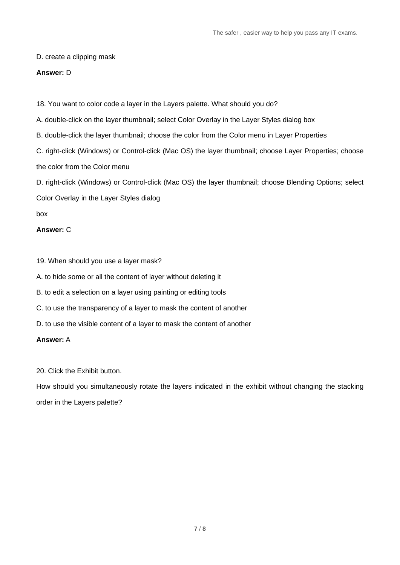D. create a clipping mask

### **Answer:** D

18. You want to color code a layer in the Layers palette. What should you do?

A. double-click on the layer thumbnail; select Color Overlay in the Layer Styles dialog box

B. double-click the layer thumbnail; choose the color from the Color menu in Layer Properties

C. right-click (Windows) or Control-click (Mac OS) the layer thumbnail; choose Layer Properties; choose the color from the Color menu

D. right-click (Windows) or Control-click (Mac OS) the layer thumbnail; choose Blending Options; select Color Overlay in the Layer Styles dialog

box and the contract of the contract of the contract of the contract of the contract of the contract of the contract of the contract of the contract of the contract of the contract of the contract of the contract of the co

# **Answer:** C

19. When should you use a layer mask?

A. to hide some or all the content of layer without deleting it

B. to edit a selection on a layer using painting or editing tools

C. to use the transparency of a layer to mask the content of another

D. to use the visible content of a layer to mask the content of another

# **Answer:** A

20. Click the Exhibit button.

How should you simultaneously rotate the layers indicated in the exhibit without changing the stacking order in the Layers palette?